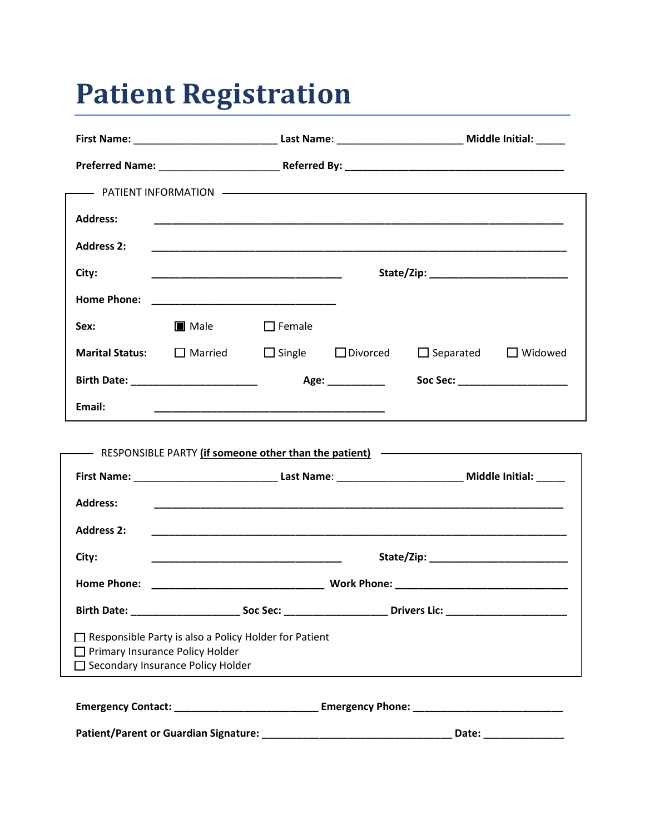# **Patient Registration**

| <b>Address:</b>                                                                                                                 |                                                                                                                       |               |      |                                 |  |
|---------------------------------------------------------------------------------------------------------------------------------|-----------------------------------------------------------------------------------------------------------------------|---------------|------|---------------------------------|--|
| <b>Address 2:</b>                                                                                                               |                                                                                                                       |               |      |                                 |  |
| City:                                                                                                                           |                                                                                                                       |               |      |                                 |  |
| <b>Home Phone:</b>                                                                                                              |                                                                                                                       |               |      |                                 |  |
| Sex:                                                                                                                            | $\blacksquare$ Male                                                                                                   | $\Box$ Female |      |                                 |  |
|                                                                                                                                 | <b>Marital Status:</b> $\Box$ Married $\Box$ Single $\Box$ Divorced                                                   |               |      | $\Box$ Separated $\Box$ Widowed |  |
|                                                                                                                                 |                                                                                                                       |               | Age: | Soc Sec: _____________________  |  |
| Email:                                                                                                                          | <u> 1989 - Johann John Stoff, deutscher Stoffen und der Stoffen und der Stoffen und der Stoffen und der Stoffen u</u> |               |      |                                 |  |
|                                                                                                                                 |                                                                                                                       |               |      |                                 |  |
| - RESPONSIBLE PARTY (if someone other than the patient) - RESPONSIBLE PARTY (if someone other than the patient)                 |                                                                                                                       |               |      |                                 |  |
|                                                                                                                                 |                                                                                                                       |               |      |                                 |  |
| <b>Address:</b>                                                                                                                 |                                                                                                                       |               |      |                                 |  |
| <b>Address 2:</b>                                                                                                               |                                                                                                                       |               |      |                                 |  |
| City:                                                                                                                           | <u> 1989 - Johann John Stone, markin amerikan basar dan berkembang dan berkembang dan bagian dan berkembang dan </u>  |               |      |                                 |  |
| <b>Home Phone:</b>                                                                                                              |                                                                                                                       |               |      |                                 |  |
|                                                                                                                                 |                                                                                                                       |               |      |                                 |  |
| Responsible Party is also a Policy Holder for Patient<br>□ Primary Insurance Policy Holder<br>Secondary Insurance Policy Holder |                                                                                                                       |               |      |                                 |  |
| Emergency Contact: _________________________________ Emergency Phone: _____________________________                             |                                                                                                                       |               |      |                                 |  |

**Patient/Parent or Guardian Signature: \_\_\_\_\_\_\_\_\_\_\_\_\_\_\_\_\_\_\_\_\_\_\_\_\_\_\_\_\_\_\_\_\_ Date: \_\_\_\_\_\_\_\_\_\_\_\_\_\_**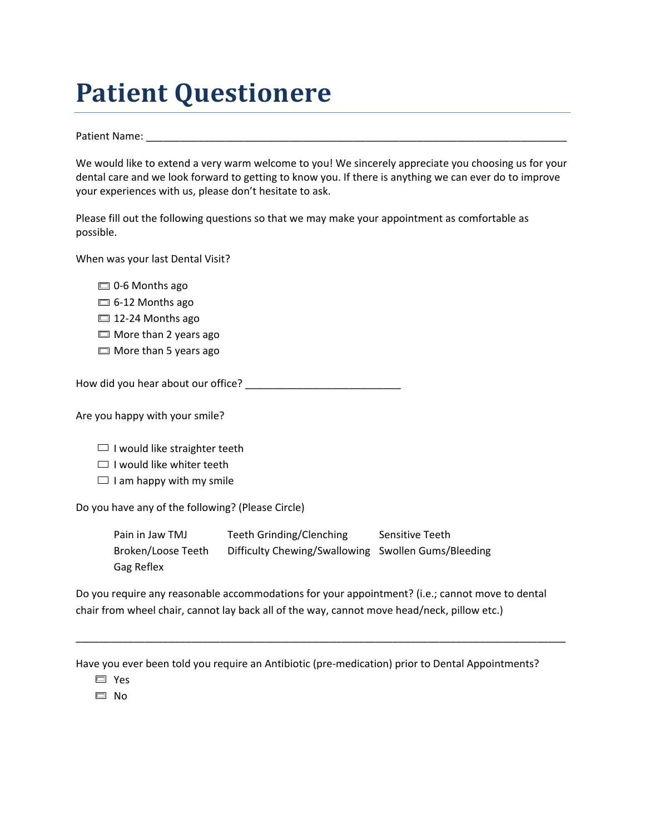## **Patient Questionere**

Patient Name: \_\_\_\_\_\_\_\_\_\_\_\_\_\_\_\_\_\_\_\_\_\_\_\_\_\_\_\_\_\_\_\_\_\_\_\_\_\_\_\_\_\_\_\_\_\_\_\_\_\_\_\_\_\_\_\_\_\_\_\_\_\_\_\_\_\_\_\_\_\_\_\_\_

We would like to extend a very warm welcome to you! We sincerely appreciate you choosing us for your dental care and we look forward to getting to know you. If there is anything we can ever do to improve your experiences with us, please don't hesitate to ask.

Please fill out the following questions so that we may make your appointment as comfortable as possible.

When was your last Dental Visit?

- $\Box$  0-6 Months ago
- $\Box$  6-12 Months ago
- □ 12-24 Months ago
- $\Box$  More than 2 years ago
- $\Box$  More than 5 years ago

How did you hear about our office? \_\_\_\_\_\_\_\_\_\_\_\_\_\_\_\_\_\_\_\_\_\_\_\_\_\_\_

Are you happy with your smile?

- $\Box$  I would like straighter teeth
- $\Box$  I would like whiter teeth
- $\Box$  I am happy with my smile

Do you have any of the following? (Please Circle)

Pain in Jaw TMJ Teeth Grinding/Clenching Sensitive Teeth Broken/Loose Teeth Difficulty Chewing/Swallowing Swollen Gums/Bleeding Gag Reflex

Do you require any reasonable accommodations for your appointment? (i.e.; cannot move to dental chair from wheel chair, cannot lay back all of the way, cannot move head/neck, pillow etc.)

\_\_\_\_\_\_\_\_\_\_\_\_\_\_\_\_\_\_\_\_\_\_\_\_\_\_\_\_\_\_\_\_\_\_\_\_\_\_\_\_\_\_\_\_\_\_\_\_\_\_\_\_\_\_\_\_\_\_\_\_\_\_\_\_\_\_\_\_\_\_\_\_\_\_\_\_\_\_\_\_\_\_\_\_\_

Have you ever been told you require an Antibiotic (pre-medication) prior to Dental Appointments?

Yes

□ No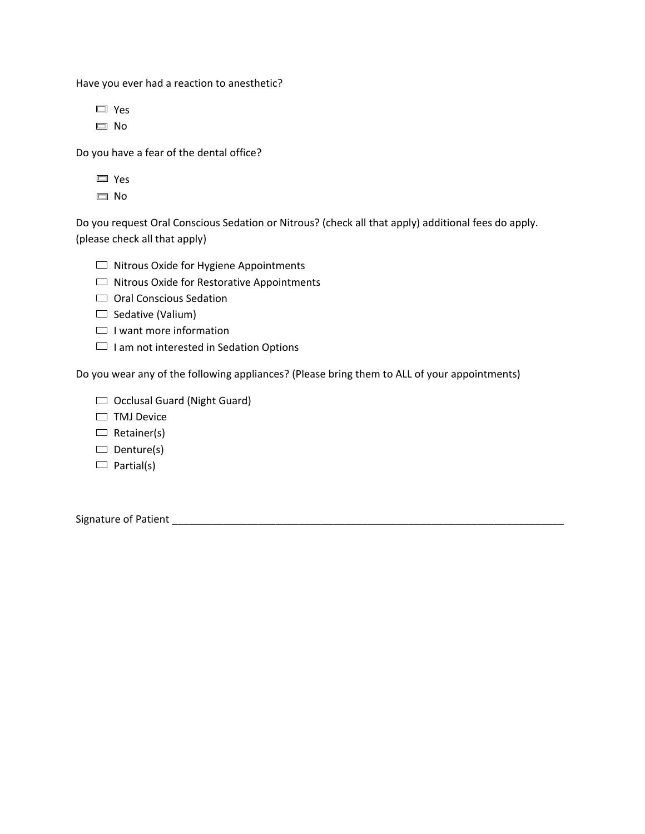Have you ever had a reaction to anesthetic?

Yes

□ No

Do you have a fear of the dental office?

No

Do you request Oral Conscious Sedation or Nitrous? (check all that apply) additional fees do apply. (please check all that apply)

- $\Box$  Nitrous Oxide for Hygiene Appointments
- $\Box$  Nitrous Oxide for Restorative Appointments
- Oral Conscious Sedation
- $\Box$  Sedative (Valium)
- $\Box$  I want more information
- $\Box$  I am not interested in Sedation Options

Do you wear any of the following appliances? (Please bring them to ALL of your appointments)

- $\Box$  Occlusal Guard (Night Guard)
- $\Box$  TMJ Device
- $\Box$  Retainer(s)
- $\Box$  Denture(s)
- $\Box$  Partial(s)

Signature of Patient \_\_\_\_\_\_\_\_\_\_\_\_\_\_\_\_\_\_\_\_\_\_\_\_\_\_\_\_\_\_\_\_\_\_\_\_\_\_\_\_\_\_\_\_\_\_\_\_\_\_\_\_\_\_\_\_\_\_\_\_\_\_\_\_\_\_\_\_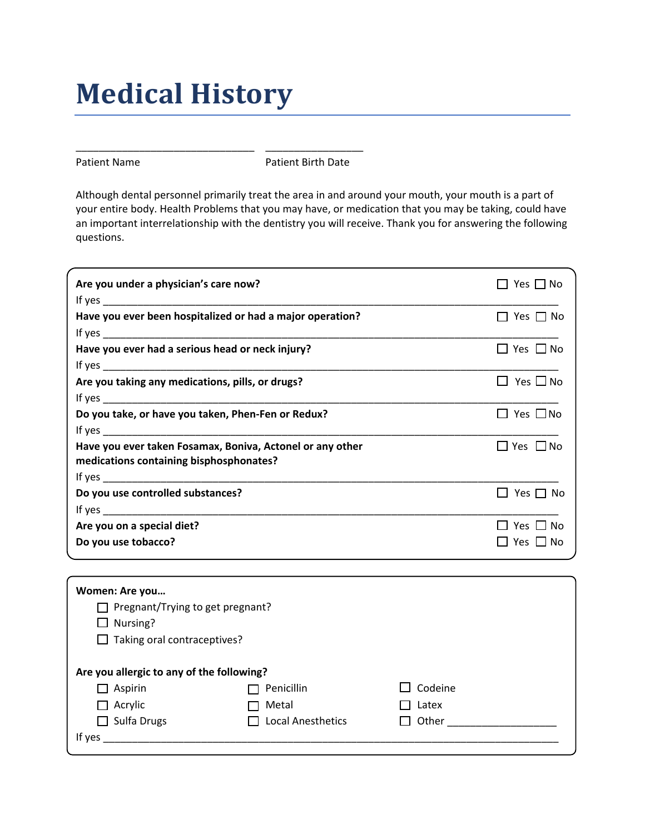# **Medical History**

\_\_\_\_\_\_\_\_\_\_\_\_\_\_\_\_\_\_\_\_\_\_\_\_\_\_\_\_\_\_\_ \_\_\_\_\_\_\_\_\_\_\_\_\_\_\_\_\_

Patient Name **Patient Birth Date** 

Although dental personnel primarily treat the area in and around your mouth, your mouth is a part of your entire body. Health Problems that you may have, or medication that you may be taking, could have an important interrelationship with the dentistry you will receive. Thank you for answering the following questions.

| Are you under a physician's care now?                     | ∣ I Yes I I No       |
|-----------------------------------------------------------|----------------------|
|                                                           |                      |
| Have you ever been hospitalized or had a major operation? | $\Box$ Yes $\Box$ No |
|                                                           |                      |
| Have you ever had a serious head or neck injury?          | $\Box$ Yes $\Box$ No |
|                                                           |                      |
| Are you taking any medications, pills, or drugs?          | $\Box$ Yes $\Box$ No |
|                                                           |                      |
| Do you take, or have you taken, Phen-Fen or Redux?        | $\Box$ Yes $\Box$ No |
|                                                           |                      |
| Have you ever taken Fosamax, Boniva, Actonel or any other | $\Box$ Yes $\Box$ No |
| medications containing bisphosphonates?                   |                      |
|                                                           |                      |
| Do you use controlled substances?                         | $\Box$ Yes $\Box$ No |
|                                                           |                      |
| Are you on a special diet?                                | $\Box$ Yes $\Box$ No |
| Do you use tobacco?                                       | $\Box$ Yes $\Box$ No |
|                                                           |                      |

| Women: Are you                                   |                          |         |  |  |  |
|--------------------------------------------------|--------------------------|---------|--|--|--|
| Pregnant/Trying to get pregnant?<br>$\mathsf{L}$ |                          |         |  |  |  |
| Nursing?<br>$\Box$                               |                          |         |  |  |  |
| $\Box$ Taking oral contraceptives?               |                          |         |  |  |  |
|                                                  |                          |         |  |  |  |
| Are you allergic to any of the following?        |                          |         |  |  |  |
| Aspirin<br>$\blacksquare$                        | Penicillin               | Codeine |  |  |  |
| Acrylic<br>$\blacksquare$                        | Metal                    | Latex   |  |  |  |
| Sulfa Drugs<br>- 1                               | <b>Local Anesthetics</b> | Other   |  |  |  |
| If yes                                           |                          |         |  |  |  |
|                                                  |                          |         |  |  |  |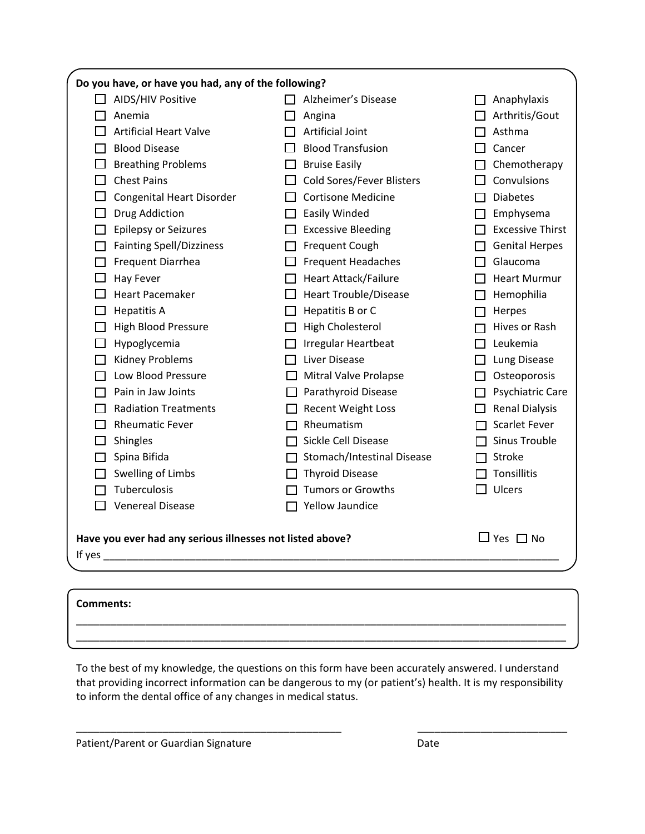| Do you have, or have you had, any of the following?                                         |                                  |                         |  |  |  |
|---------------------------------------------------------------------------------------------|----------------------------------|-------------------------|--|--|--|
| AIDS/HIV Positive<br>$\mathsf{L}$                                                           | Alzheimer's Disease              | Anaphylaxis             |  |  |  |
| Anemia                                                                                      | Angina                           | Arthritis/Gout          |  |  |  |
| <b>Artificial Heart Valve</b>                                                               | <b>Artificial Joint</b>          | Asthma                  |  |  |  |
| <b>Blood Disease</b>                                                                        | <b>Blood Transfusion</b>         | Cancer                  |  |  |  |
| <b>Breathing Problems</b>                                                                   | <b>Bruise Easily</b>             | Chemotherapy            |  |  |  |
| <b>Chest Pains</b>                                                                          | <b>Cold Sores/Fever Blisters</b> | Convulsions             |  |  |  |
| <b>Congenital Heart Disorder</b>                                                            | <b>Cortisone Medicine</b>        | <b>Diabetes</b>         |  |  |  |
| Drug Addiction                                                                              | Easily Winded                    | Emphysema               |  |  |  |
| <b>Epilepsy or Seizures</b>                                                                 | <b>Excessive Bleeding</b>        | <b>Excessive Thirst</b> |  |  |  |
| <b>Fainting Spell/Dizziness</b>                                                             | Frequent Cough                   | <b>Genital Herpes</b>   |  |  |  |
| Frequent Diarrhea                                                                           | <b>Frequent Headaches</b>        | Glaucoma                |  |  |  |
| <b>Hay Fever</b>                                                                            | <b>Heart Attack/Failure</b>      | <b>Heart Murmur</b>     |  |  |  |
| <b>Heart Pacemaker</b>                                                                      | <b>Heart Trouble/Disease</b>     | Hemophilia              |  |  |  |
| <b>Hepatitis A</b>                                                                          | Hepatitis B or C                 | Herpes                  |  |  |  |
| <b>High Blood Pressure</b>                                                                  | <b>High Cholesterol</b>          | Hives or Rash           |  |  |  |
| Hypoglycemia                                                                                | Irregular Heartbeat              | Leukemia                |  |  |  |
| <b>Kidney Problems</b>                                                                      | Liver Disease                    | Lung Disease            |  |  |  |
| Low Blood Pressure                                                                          | Mitral Valve Prolapse            | Osteoporosis            |  |  |  |
| Pain in Jaw Joints                                                                          | Parathyroid Disease              | Psychiatric Care        |  |  |  |
| <b>Radiation Treatments</b>                                                                 | <b>Recent Weight Loss</b>        | <b>Renal Dialysis</b>   |  |  |  |
| <b>Rheumatic Fever</b>                                                                      | Rheumatism                       | <b>Scarlet Fever</b>    |  |  |  |
| Shingles                                                                                    | Sickle Cell Disease              | <b>Sinus Trouble</b>    |  |  |  |
| Spina Bifida                                                                                | Stomach/Intestinal Disease       | Stroke                  |  |  |  |
| Swelling of Limbs                                                                           | <b>Thyroid Disease</b>           | Tonsillitis             |  |  |  |
| Tuberculosis                                                                                | <b>Tumors or Growths</b>         | <b>Ulcers</b>           |  |  |  |
| <b>Venereal Disease</b><br>$\mathsf{L}$                                                     | Yellow Jaundice                  |                         |  |  |  |
| $\Box$ Yes $\Box$ No<br>Have you ever had any serious illnesses not listed above?<br>If yes |                                  |                         |  |  |  |
|                                                                                             |                                  |                         |  |  |  |

| <b>Comments:</b> |  |
|------------------|--|
|                  |  |

To the best of my knowledge, the questions on this form have been accurately answered. I understand that providing incorrect information can be dangerous to my (or patient's) health. It is my responsibility to inform the dental office of any changes in medical status.

\_\_\_\_\_\_\_\_\_\_\_\_\_\_\_\_\_\_\_\_\_\_\_\_\_\_\_\_\_\_\_\_\_\_\_\_\_\_\_\_\_\_\_\_\_\_ \_\_\_\_\_\_\_\_\_\_\_\_\_\_\_\_\_\_\_\_\_\_\_\_\_\_

Patient/Parent or Guardian Signature de Contracteur de Contracteur Date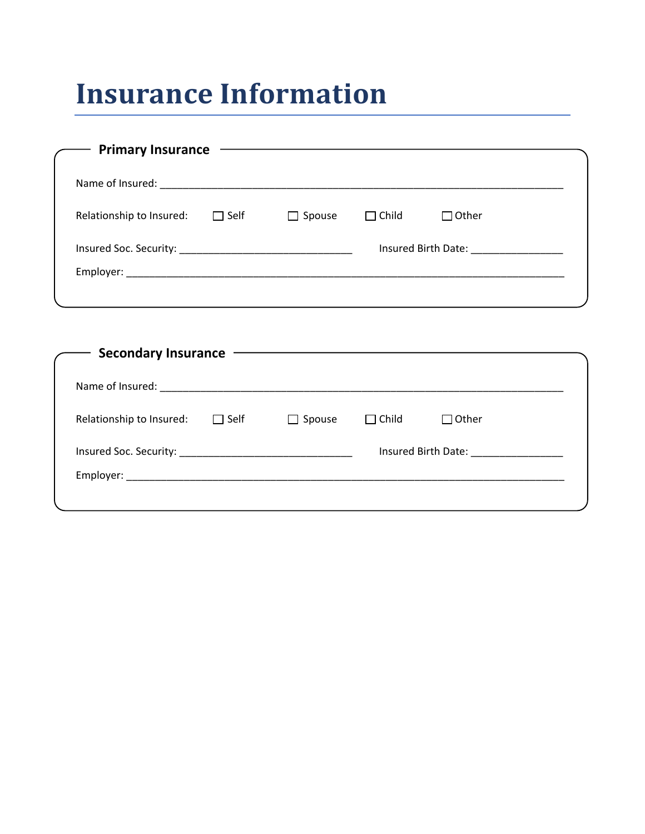# **Insurance Information**

| Relationship to Insured: | $\Box$ Self | $\Box$ Spouse | $\Box$ Child | $\Box$ Other                         |
|--------------------------|-------------|---------------|--------------|--------------------------------------|
|                          |             |               |              | Insured Birth Date: ________________ |
|                          |             |               |              |                                      |

| Name of Insured:         |             |               |              |                     |
|--------------------------|-------------|---------------|--------------|---------------------|
| Relationship to Insured: | $\Box$ Self | $\Box$ Spouse | $\Box$ Child | $\Box$ Other        |
|                          |             |               |              | Insured Birth Date: |
|                          |             |               |              |                     |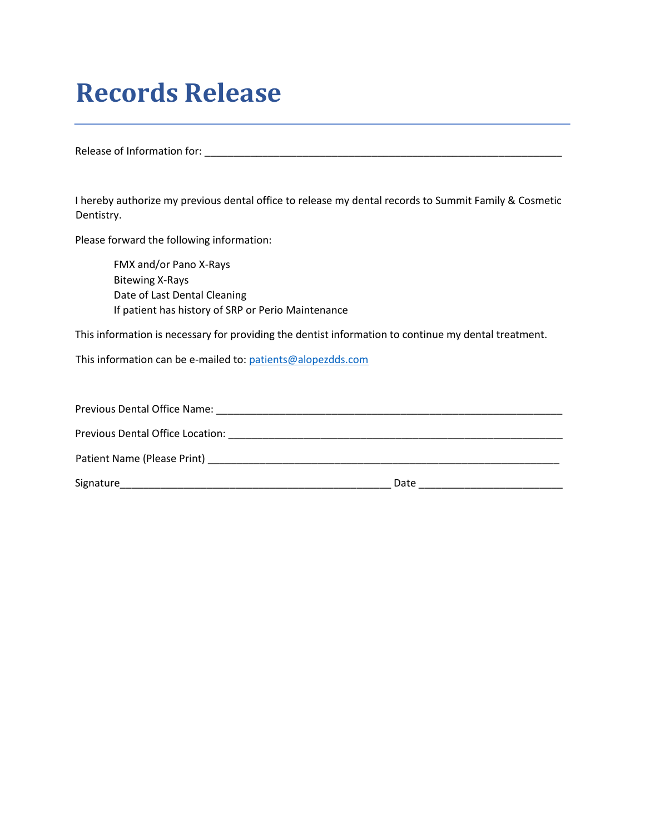### **Records Release**

Release of Information for: \_\_\_\_\_\_\_\_\_\_\_\_\_\_\_\_\_\_\_\_\_\_\_\_\_\_\_\_\_\_\_\_\_\_\_\_\_\_\_\_\_\_\_\_\_\_\_\_\_\_\_\_\_\_\_\_\_\_\_\_\_\_

I hereby authorize my previous dental office to release my dental records to Summit Family & Cosmetic Dentistry.

Please forward the following information:

FMX and/or Pano X-Rays Bitewing X-Rays Date of Last Dental Cleaning If patient has history of SRP or Perio Maintenance

This information is necessary for providing the dentist information to continue my dental treatment.

This information can be e-mailed to: patients@alopezdds.com

| Previous Dental Office Name:                                                                                                                                                                                                   |      |
|--------------------------------------------------------------------------------------------------------------------------------------------------------------------------------------------------------------------------------|------|
| Previous Dental Office Location: Note that the previous Dental Office Location:                                                                                                                                                |      |
| Patient Name (Please Print) and the state of the state of the state of the state of the state of the state of the state of the state of the state of the state of the state of the state of the state of the state of the stat |      |
| Signature                                                                                                                                                                                                                      | Date |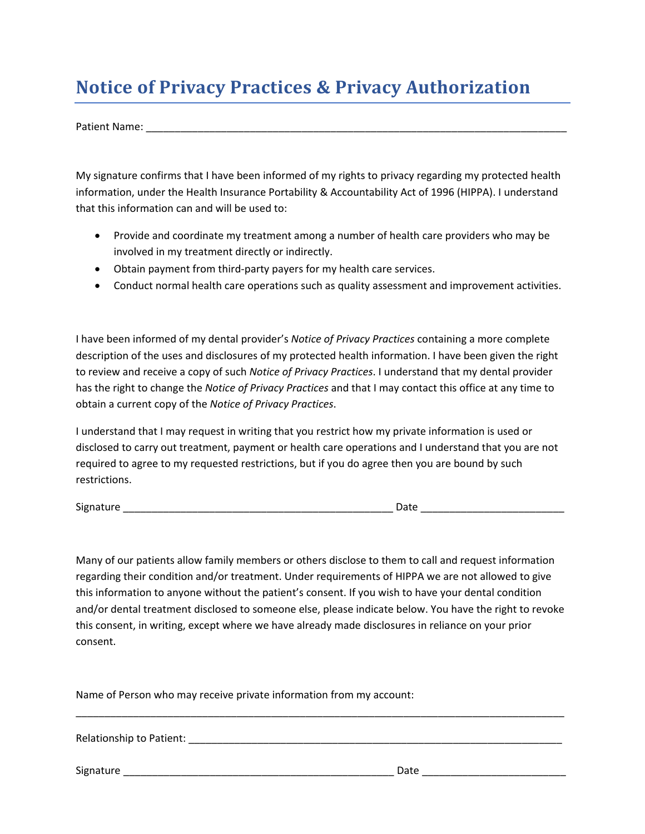### **Notice of Privacy Practices & Privacy Authorization**

Patient Name: \_\_\_\_\_\_\_\_\_\_\_\_\_\_\_\_\_\_\_\_\_\_\_\_\_\_\_\_\_\_\_\_\_\_\_\_\_\_\_\_\_\_\_\_\_\_\_\_\_\_\_\_\_\_\_\_\_\_\_\_\_\_\_\_\_\_\_\_\_\_\_\_\_

My signature confirms that I have been informed of my rights to privacy regarding my protected health information, under the Health Insurance Portability & Accountability Act of 1996 (HIPPA). I understand that this information can and will be used to:

- Provide and coordinate my treatment among a number of health care providers who may be involved in my treatment directly or indirectly.
- Obtain payment from third-party payers for my health care services.
- Conduct normal health care operations such as quality assessment and improvement activities.

I have been informed of my dental provider's *Notice of Privacy Practices* containing a more complete description of the uses and disclosures of my protected health information. I have been given the right to review and receive a copy of such *Notice of Privacy Practices*. I understand that my dental provider has the right to change the *Notice of Privacy Practices* and that I may contact this office at any time to obtain a current copy of the *Notice of Privacy Practices*.

I understand that I may request in writing that you restrict how my private information is used or disclosed to carry out treatment, payment or health care operations and I understand that you are not required to agree to my requested restrictions, but if you do agree then you are bound by such restrictions.

Signature \_\_\_\_\_\_\_\_\_\_\_\_\_\_\_\_\_\_\_\_\_\_\_\_\_\_\_\_\_\_\_\_\_\_\_\_\_\_\_\_\_\_\_\_\_\_\_ Date \_\_\_\_\_\_\_\_\_\_\_\_\_\_\_\_\_\_\_\_\_\_\_\_\_

Many of our patients allow family members or others disclose to them to call and request information regarding their condition and/or treatment. Under requirements of HIPPA we are not allowed to give this information to anyone without the patient's consent. If you wish to have your dental condition and/or dental treatment disclosed to someone else, please indicate below. You have the right to revoke this consent, in writing, except where we have already made disclosures in reliance on your prior consent.

\_\_\_\_\_\_\_\_\_\_\_\_\_\_\_\_\_\_\_\_\_\_\_\_\_\_\_\_\_\_\_\_\_\_\_\_\_\_\_\_\_\_\_\_\_\_\_\_\_\_\_\_\_\_\_\_\_\_\_\_\_\_\_\_\_\_\_\_\_\_\_\_\_\_\_\_\_\_\_\_\_\_\_\_\_

Name of Person who may receive private information from my account:

Relationship to Patient:  $\blacksquare$ 

Signature \_\_\_\_\_\_\_\_\_\_\_\_\_\_\_\_\_\_\_\_\_\_\_\_\_\_\_\_\_\_\_\_\_\_\_\_\_\_\_\_\_\_\_\_\_\_\_ Date \_\_\_\_\_\_\_\_\_\_\_\_\_\_\_\_\_\_\_\_\_\_\_\_\_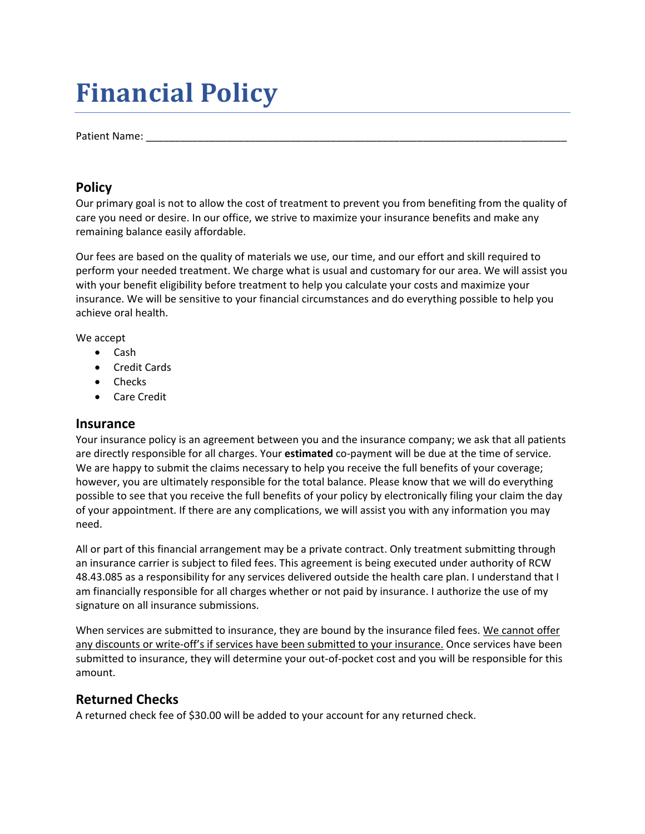### **Financial Policy**

Patient Name:

### **Policy**

Our primary goal is not to allow the cost of treatment to prevent you from benefiting from the quality of care you need or desire. In our office, we strive to maximize your insurance benefits and make any remaining balance easily affordable.

Our fees are based on the quality of materials we use, our time, and our effort and skill required to perform your needed treatment. We charge what is usual and customary for our area. We will assist you with your benefit eligibility before treatment to help you calculate your costs and maximize your insurance. We will be sensitive to your financial circumstances and do everything possible to help you achieve oral health.

We accept

- Cash
- Credit Cards
- Checks
- Care Credit

#### **Insurance**

Your insurance policy is an agreement between you and the insurance company; we ask that all patients are directly responsible for all charges. Your **estimated** co-payment will be due at the time of service. We are happy to submit the claims necessary to help you receive the full benefits of your coverage; however, you are ultimately responsible for the total balance. Please know that we will do everything possible to see that you receive the full benefits of your policy by electronically filing your claim the day of your appointment. If there are any complications, we will assist you with any information you may need.

All or part of this financial arrangement may be a private contract. Only treatment submitting through an insurance carrier is subject to filed fees. This agreement is being executed under authority of RCW 48.43.085 as a responsibility for any services delivered outside the health care plan. I understand that I am financially responsible for all charges whether or not paid by insurance. I authorize the use of my signature on all insurance submissions.

When services are submitted to insurance, they are bound by the insurance filed fees. We cannot offer any discounts or write-off's if services have been submitted to your insurance. Once services have been submitted to insurance, they will determine your out-of-pocket cost and you will be responsible for this amount.

### **Returned Checks**

A returned check fee of \$30.00 will be added to your account for any returned check.